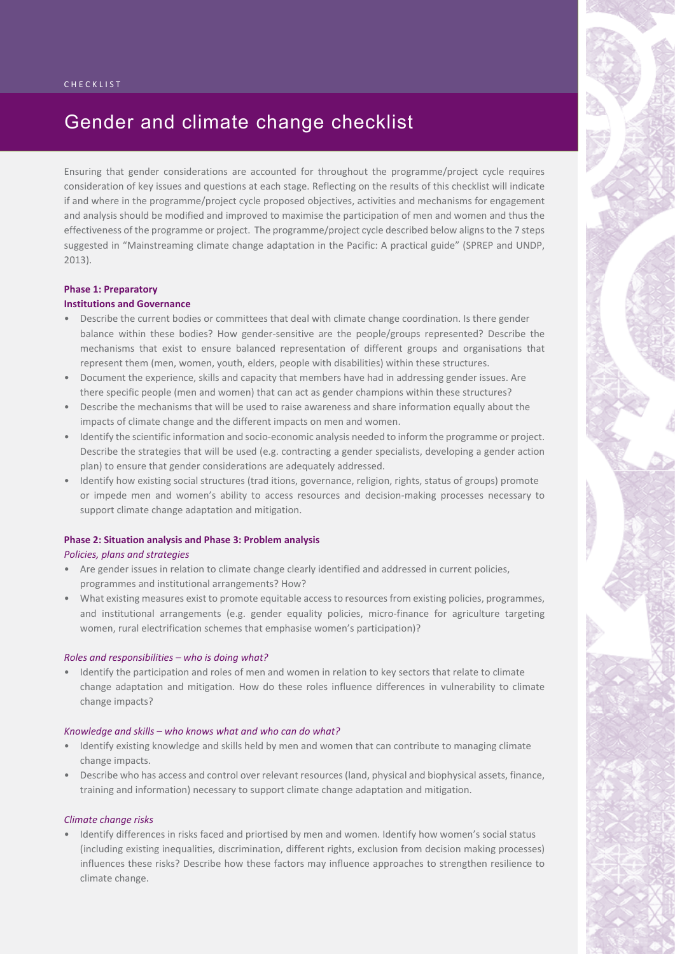# Gender and climate change checklist

Ensuring that gender considerations are accounted for throughout the programme/project cycle requires consideration of key issues and questions at each stage. Reflecting on the results of this checklist will indicate if and where in the programme/project cycle proposed objectives, activities and mechanisms for engagement and analysis should be modified and improved to maximise the participation of men and women and thus the effectiveness of the programme or project. The programme/project cycle described below aligns to the 7 steps suggested in "Mainstreaming climate change adaptation in the Pacific: A practical guide" (SPREP and UNDP, 2013).

### **Phase 1: Preparatory**

# **Institutions and Governance**

- Describe the current bodies or committees that deal with climate change coordination. Is there gender balance within these bodies? How gender-sensitive are the people/groups represented? Describe the mechanisms that exist to ensure balanced representation of different groups and organisations that represent them (men, women, youth, elders, people with disabilities) within these structures.
- • Document the experience, skills and capacity that members have had in addressing gender issues. Are there specific people (men and women) that can act as gender champions within these structures?
- • Describe the mechanisms that will be used to raise awareness and share information equally about the impacts of climate change and the different impacts on men and women.
- • Identify the scientific information and socio-economic analysis needed to inform the programme or project. Describe the strategies that will be used (e.g. contracting a gender specialists, developing a gender action plan) to ensure that gender considerations are adequately addressed.
- • Identify how existing social structures (trad itions, governance, religion, rights, status of groups) promote or impede men and women's ability to access resources and decision-making processes necessary to support climate change adaptation and mitigation.

# **Phase 2: Situation analysis and Phase 3: Problem analysis**

### *Policies, plans and strategies*

- • Are gender issues in relation to climate change clearly identified and addressed in current policies, programmes and institutional arrangements? How?
- What existing measures exist to promote equitable access to resources from existing policies, programmes, and institutional arrangements (e.g. gender equality policies, micro-finance for agriculture targeting women, rural electrification schemes that emphasise women's participation)?

### *Roles and responsibilities – who is doing what?*

• Identify the participation and roles of men and women in relation to key sectors that relate to climate change adaptation and mitigation. How do these roles influence differences in vulnerability to climate change impacts?

### *Knowledge and skills – who knows what and who can do what?*

- Identify existing knowledge and skills held by men and women that can contribute to managing climate change impacts.
- Describe who has access and control over relevant resources (land, physical and biophysical assets, finance, training and information) necessary to support climate change adaptation and mitigation.

### *Climate change risks*

• Identify differences in risks faced and priortised by men and women. Identify how women's social status (including existing inequalities, discrimination, different rights, exclusion from decision making processes) influences these risks? Describe how these factors may influence approaches to strengthen resilience to climate change.